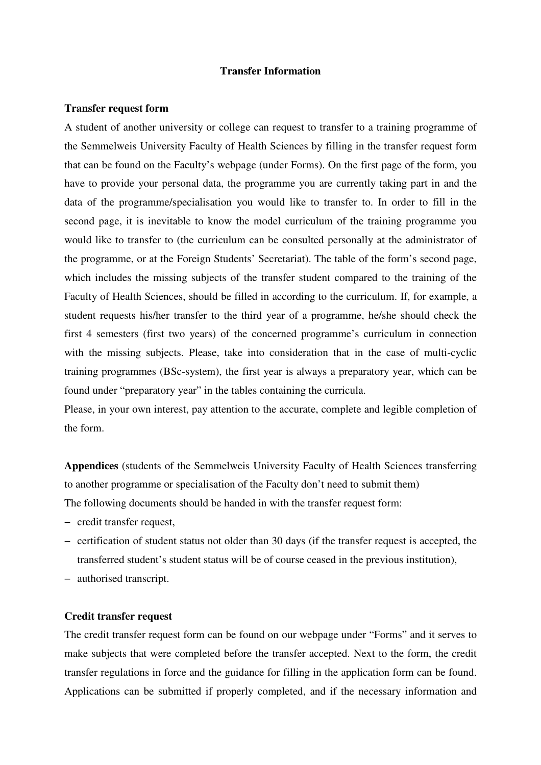## **Transfer Information**

## **Transfer request form**

A student of another university or college can request to transfer to a training programme of the Semmelweis University Faculty of Health Sciences by filling in the transfer request form that can be found on the Faculty's webpage (under Forms). On the first page of the form, you have to provide your personal data, the programme you are currently taking part in and the data of the programme/specialisation you would like to transfer to. In order to fill in the second page, it is inevitable to know the model curriculum of the training programme you would like to transfer to (the curriculum can be consulted personally at the administrator of the programme, or at the Foreign Students' Secretariat). The table of the form's second page, which includes the missing subjects of the transfer student compared to the training of the Faculty of Health Sciences, should be filled in according to the curriculum. If, for example, a student requests his/her transfer to the third year of a programme, he/she should check the first 4 semesters (first two years) of the concerned programme's curriculum in connection with the missing subjects. Please, take into consideration that in the case of multi-cyclic training programmes (BSc-system), the first year is always a preparatory year, which can be found under "preparatory year" in the tables containing the curricula.

Please, in your own interest, pay attention to the accurate, complete and legible completion of the form.

**Appendices** (students of the Semmelweis University Faculty of Health Sciences transferring to another programme or specialisation of the Faculty don't need to submit them) The following documents should be handed in with the transfer request form:

- − credit transfer request,
- − certification of student status not older than 30 days (if the transfer request is accepted, the transferred student's student status will be of course ceased in the previous institution),
- − authorised transcript.

## **Credit transfer request**

The credit transfer request form can be found on our webpage under "Forms" and it serves to make subjects that were completed before the transfer accepted. Next to the form, the credit transfer regulations in force and the guidance for filling in the application form can be found. Applications can be submitted if properly completed, and if the necessary information and